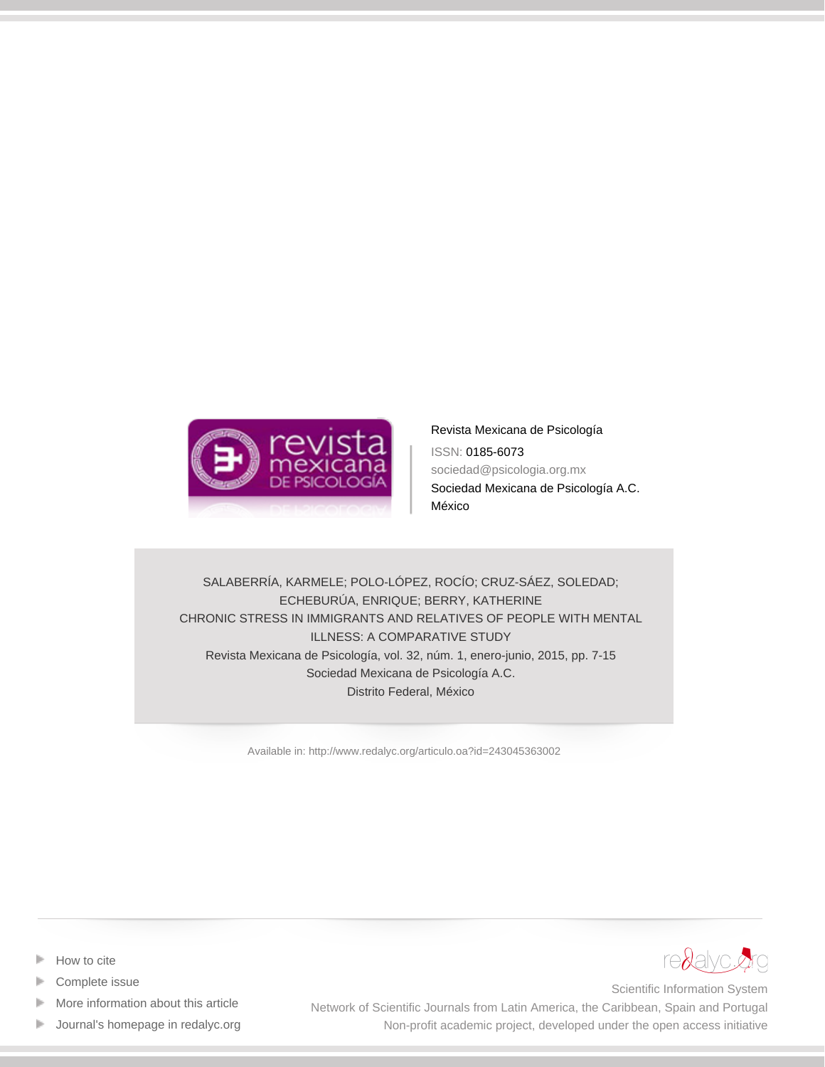

[Revista Mexicana de Psicología](http://www.redalyc.org/revista.oa?id=2430) ISSN: 0185-6073 sociedad@psicologia.org.mx Sociedad Mexicana de Psicología A.C. México

SALABERRÍA, KARMELE; POLO-LÓPEZ, ROCÍO; CRUZ-SÁEZ, SOLEDAD; ECHEBURÚA, ENRIQUE; BERRY, KATHERINE CHRONIC STRESS IN IMMIGRANTS AND RELATIVES OF PEOPLE WITH MENTAL ILLNESS: A COMPARATIVE STUDY Revista Mexicana de Psicología, vol. 32, núm. 1, enero-junio, 2015, pp. 7-15 Sociedad Mexicana de Psicología A.C. Distrito Federal, México

[Available in: http://www.redalyc.org/articulo.oa?id=243045363002](http://www.redalyc.org/articulo.oa?id=243045363002)



- [Complete issue](http://www.redalyc.org/fasciculo.oa?id=2430&numero=45363)
- [More information about this article](http://www.redalyc.org/articulo.oa?id=243045363002) Þ
- [Journal's homepage in redalyc.org](http://www.redalyc.org/revista.oa?id=2430)  $\mathbb P$



Scientific Information System Network of Scientific Journals from Latin America, the Caribbean, Spain and Portugal Non-profit academic project, developed under the open access initiative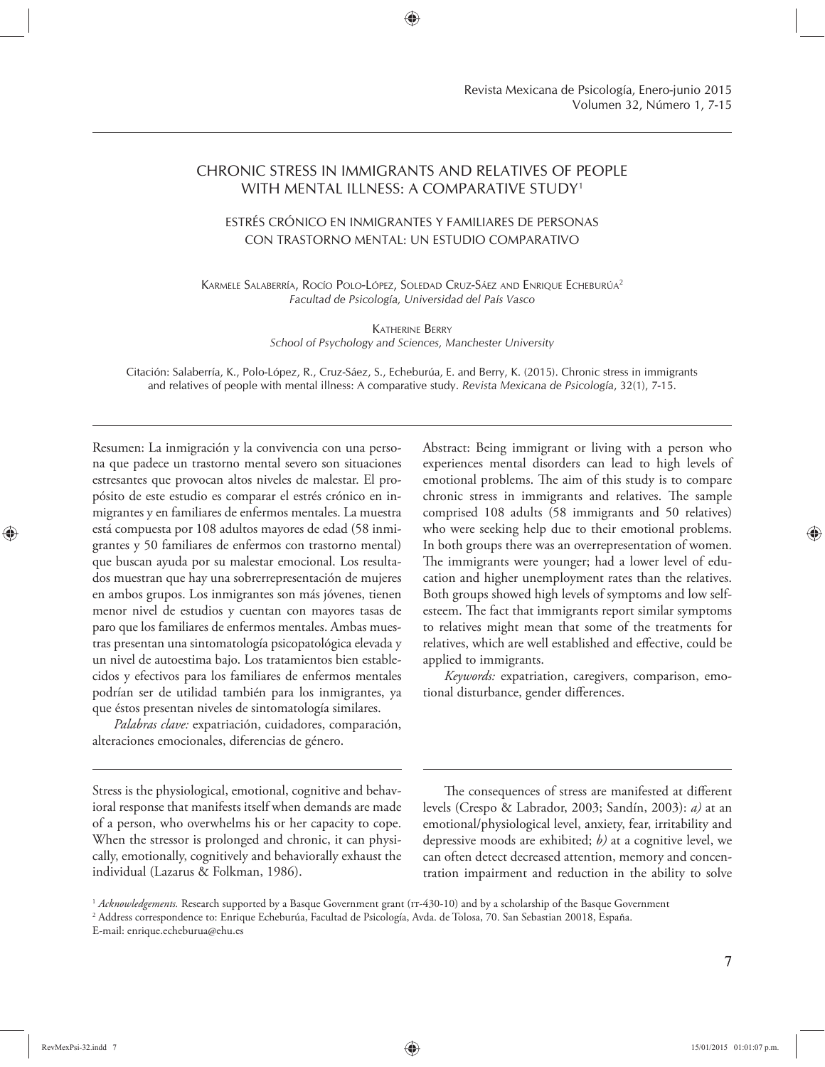# CHRONIC STRESS IN IMMIGRANTS AND RELATIVES OF PEOPLE WITH MENTAL ILLNESS: A COMPARATIVE STUDY1

# ESTRÉS CRÓNICO EN INMIGRANTES Y FAMILIARES DE PERSONAS CON TRASTORNO MENTAL: UN ESTUDIO COMPARATIVO

KARMELE SALABERRÍA, ROCÍO POLO-LÓPEZ, SOLEDAD CRUZ-SÁEZ AND ENRIQUE ECHEBURÚA<sup>2</sup> *Facultad de Psicología, Universidad del País Vasco*

## KATHERINE BERRY *School of Psychology and Sciences, Manchester University*

Citación: Salaberría, K., Polo-López, R., Cruz-Sáez, S., Echeburúa, E. and Berry, K. (2015). Chronic stress in immigrants and relatives of people with mental illness: A comparative study. *Revista Mexicana de Psicología*, 32(1), 7-15.

Resumen: La inmigración y la convivencia con una persona que padece un trastorno mental severo son situaciones estresantes que provocan altos niveles de malestar. El propósito de este estudio es comparar el estrés crónico en inmigrantes y en familiares de enfermos mentales. La muestra está compuesta por 108 adultos mayores de edad (58 inmigrantes y 50 familiares de enfermos con trastorno mental) que buscan ayuda por su malestar emocional. Los resultados muestran que hay una sobrerrepresentación de mujeres en ambos grupos. Los inmigrantes son más jóvenes, tienen menor nivel de estudios y cuentan con mayores tasas de paro que los familiares de enfermos mentales. Ambas muestras presentan una sintomatología psicopatológica elevada y un nivel de autoestima bajo. Los tratamientos bien establecidos y efectivos para los familiares de enfermos mentales podrían ser de utilidad también para los inmigrantes, ya que éstos presentan niveles de sintomatología similares.

*Palabras clave:* expatriación, cuidadores, comparación, alteraciones emocionales, diferencias de género.

Stress is the physiological, emotional, cognitive and behavioral response that manifests itself when demands are made of a person, who overwhelms his or her capacity to cope. When the stressor is prolonged and chronic, it can physically, emotionally, cognitively and behaviorally exhaust the individual (Lazarus & Folkman, 1986).

Abstract: Being immigrant or living with a person who experiences mental disorders can lead to high levels of emotional problems. The aim of this study is to compare chronic stress in immigrants and relatives. The sample comprised 108 adults (58 immigrants and 50 relatives) who were seeking help due to their emotional problems. In both groups there was an overrepresentation of women. The immigrants were younger; had a lower level of education and higher unemployment rates than the relatives. Both groups showed high levels of symptoms and low selfesteem. The fact that immigrants report similar symptoms to relatives might mean that some of the treatments for relatives, which are well established and effective, could be applied to immigrants.

*Keywords:* expatriation, caregivers, comparison, emotional disturbance, gender differences.

The consequences of stress are manifested at different levels (Crespo & Labrador, 2003; Sandín, 2003): *a)* at an emotional/physiological level, anxiety, fear, irritability and depressive moods are exhibited; *b)* at a cognitive level, we can often detect decreased attention, memory and concentration impairment and reduction in the ability to solve

<sup>&</sup>lt;sup>1</sup> Acknowledgements. Research supported by a Basque Government grant (1T-430-10) and by a scholarship of the Basque Government 2 Address correspondence to: Enrique Echeburúa, Facultad de Psicología, Avda. de Tolosa, 70. San Sebastian 20018, España. E-mail: enrique.echeburua@ehu.es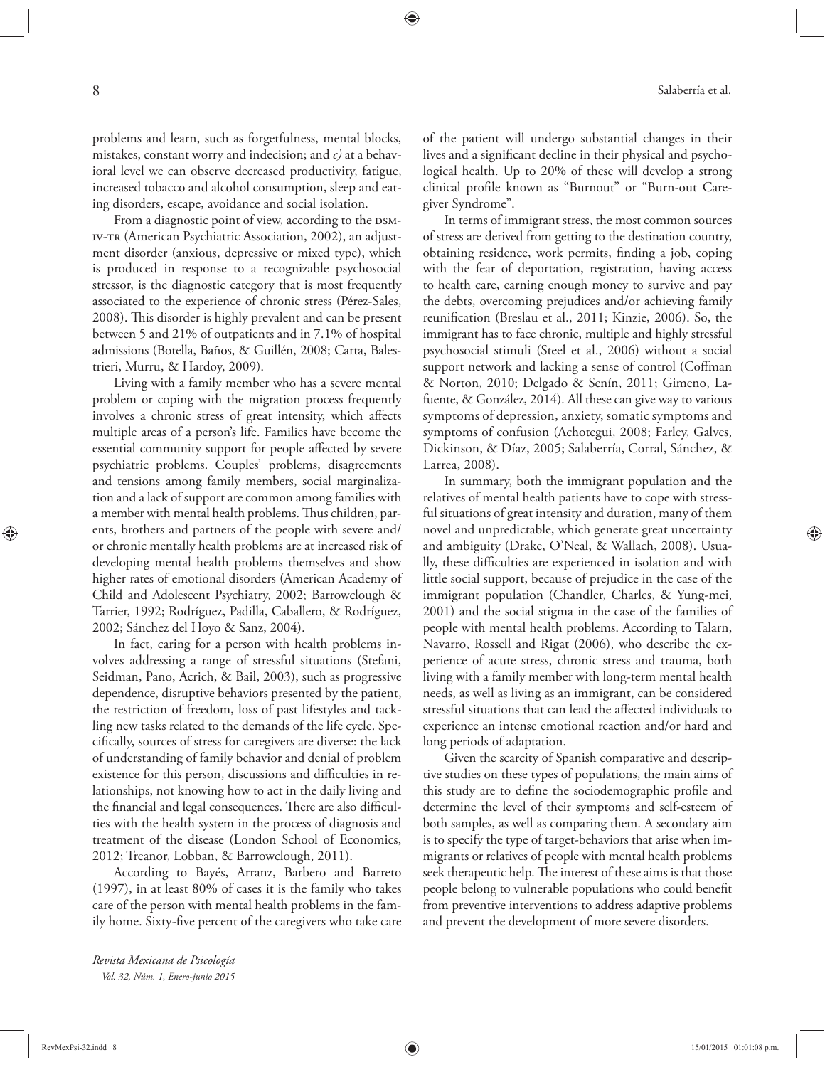problems and learn, such as forgetfulness, mental blocks, mistakes, constant worry and indecision; and *c)* at a behavioral level we can observe decreased productivity, fatigue, increased tobacco and alcohol consumption, sleep and eating disorders, escape, avoidance and social isolation.

From a diagnostic point of view, according to the DSMiv-tr (American Psychiatric Association, 2002), an adjustment disorder (anxious, depressive or mixed type), which is produced in response to a recognizable psychosocial stressor, is the diagnostic category that is most frequently associated to the experience of chronic stress (Pérez-Sales, 2008). This disorder is highly prevalent and can be present between 5 and 21% of outpatients and in 7.1% of hospital admissions (Botella, Baños, & Guillén, 2008; Carta, Balestrieri, Murru, & Hardoy, 2009).

Living with a family member who has a severe mental problem or coping with the migration process frequently involves a chronic stress of great intensity, which affects multiple areas of a person's life. Families have become the essential community support for people affected by severe psychiatric problems. Couples' problems, disagreements and tensions among family members, social marginalization and a lack of support are common among families with a member with mental health problems. Thus children, parents, brothers and partners of the people with severe and/ or chronic mentally health problems are at increased risk of developing mental health problems themselves and show higher rates of emotional disorders (American Academy of Child and Adolescent Psychiatry, 2002; Barrowclough & Tarrier, 1992; Rodríguez, Padilla, Caballero, & Rodríguez, 2002; Sánchez del Hoyo & Sanz, 2004).

In fact, caring for a person with health problems involves addressing a range of stressful situations (Stefani, Seidman, Pano, Acrich, & Bail, 2003), such as progressive dependence, disruptive behaviors presented by the patient, the restriction of freedom, loss of past lifestyles and tackling new tasks related to the demands of the life cycle. Specifically, sources of stress for caregivers are diverse: the lack of understanding of family behavior and denial of problem existence for this person, discussions and difficulties in relationships, not knowing how to act in the daily living and the financial and legal consequences. There are also difficulties with the health system in the process of diagnosis and treatment of the disease (London School of Economics, 2012; Treanor, Lobban, & Barrowclough, 2011).

According to Bayés, Arranz, Barbero and Barreto (1997), in at least 80% of cases it is the family who takes care of the person with mental health problems in the family home. Sixty-five percent of the caregivers who take care

*Revista Mexicana de Psicología Vol. 32, Núm. 1, Enero-junio 2015* of the patient will undergo substantial changes in their lives and a significant decline in their physical and psychological health. Up to 20% of these will develop a strong clinical profile known as "Burnout" or "Burn-out Caregiver Syndrome".

In terms of immigrant stress, the most common sources of stress are derived from getting to the destination country, obtaining residence, work permits, finding a job, coping with the fear of deportation, registration, having access to health care, earning enough money to survive and pay the debts, overcoming prejudices and/or achieving family reunification (Breslau et al., 2011; Kinzie, 2006). So, the immigrant has to face chronic, multiple and highly stressful psychosocial stimuli (Steel et al., 2006) without a social support network and lacking a sense of control (Coffman & Norton, 2010; Delgado & Senín, 2011; Gimeno, Lafuente, & González, 2014). All these can give way to various symptoms of depression, anxiety, somatic symptoms and symptoms of confusion (Achotegui, 2008; Farley, Galves, Dickinson, & Díaz, 2005; Salaberría, Corral, Sánchez, & Larrea, 2008).

In summary, both the immigrant population and the relatives of mental health patients have to cope with stressful situations of great intensity and duration, many of them novel and unpredictable, which generate great uncertainty and ambiguity (Drake, O'Neal, & Wallach, 2008). Usually, these difficulties are experienced in isolation and with little social support, because of prejudice in the case of the immigrant population (Chandler, Charles, & Yung-mei, 2001) and the social stigma in the case of the families of people with mental health problems. According to Talarn, Navarro, Rossell and Rigat (2006), who describe the experience of acute stress, chronic stress and trauma, both living with a family member with long-term mental health needs, as well as living as an immigrant, can be considered stressful situations that can lead the affected individuals to experience an intense emotional reaction and/or hard and long periods of adaptation.

Given the scarcity of Spanish comparative and descriptive studies on these types of populations, the main aims of this study are to define the sociodemographic profile and determine the level of their symptoms and self-esteem of both samples, as well as comparing them. A secondary aim is to specify the type of target-behaviors that arise when immigrants or relatives of people with mental health problems seek therapeutic help. The interest of these aims is that those people belong to vulnerable populations who could benefit from preventive interventions to address adaptive problems and prevent the development of more severe disorders.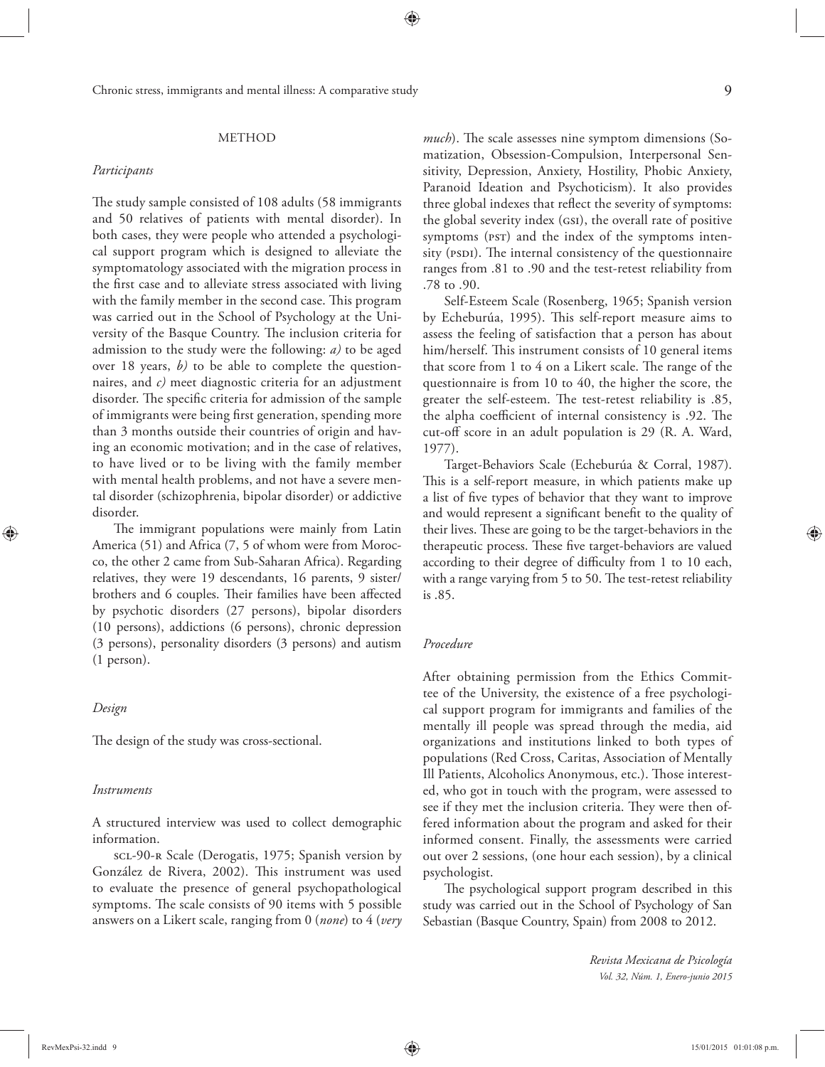### METHOD

#### *Participants*

The study sample consisted of 108 adults (58 immigrants and 50 relatives of patients with mental disorder). In both cases, they were people who attended a psychological support program which is designed to alleviate the symptomatology associated with the migration process in the first case and to alleviate stress associated with living with the family member in the second case. This program was carried out in the School of Psychology at the University of the Basque Country. The inclusion criteria for admission to the study were the following: *a)* to be aged over 18 years, *b)* to be able to complete the questionnaires, and *c)* meet diagnostic criteria for an adjustment disorder. The specific criteria for admission of the sample of immigrants were being first generation, spending more than 3 months outside their countries of origin and having an economic motivation; and in the case of relatives, to have lived or to be living with the family member with mental health problems, and not have a severe mental disorder (schizophrenia, bipolar disorder) or addictive disorder.

The immigrant populations were mainly from Latin America (51) and Africa (7, 5 of whom were from Morocco, the other 2 came from Sub-Saharan Africa). Regarding relatives, they were 19 descendants, 16 parents, 9 sister/ brothers and 6 couples. Their families have been affected by psychotic disorders (27 persons), bipolar disorders (10 persons), addictions (6 persons), chronic depression (3 persons), personality disorders (3 persons) and autism (1 person).

## *Design*

The design of the study was cross-sectional.

### *Instruments*

A structured interview was used to collect demographic information.

scl-90-r Scale (Derogatis, 1975; Spanish version by González de Rivera, 2002). This instrument was used to evaluate the presence of general psychopathological symptoms. The scale consists of 90 items with 5 possible answers on a Likert scale, ranging from 0 (*none*) to 4 (*very*  *much*). The scale assesses nine symptom dimensions (Somatization, Obsession-Compulsion, Interpersonal Sensitivity, Depression, Anxiety, Hostility, Phobic Anxiety, Paranoid Ideation and Psychoticism). It also provides three global indexes that reflect the severity of symptoms: the global severity index (gsi), the overall rate of positive symptoms (PST) and the index of the symptoms intensity (PSDI). The internal consistency of the questionnaire ranges from .81 to .90 and the test-retest reliability from .78 to .90.

Self-Esteem Scale (Rosenberg, 1965; Spanish version by Echeburúa, 1995). This self-report measure aims to assess the feeling of satisfaction that a person has about him/herself. This instrument consists of 10 general items that score from  $1$  to  $4$  on a Likert scale. The range of the questionnaire is from 10 to 40, the higher the score, the greater the self-esteem. The test-retest reliability is .85, the alpha coefficient of internal consistency is .92. The cut-off score in an adult population is 29 (R. A. Ward, 1977).

Target-Behaviors Scale (Echeburúa & Corral, 1987). This is a self-report measure, in which patients make up a list of five types of behavior that they want to improve and would represent a significant benefit to the quality of their lives. These are going to be the target-behaviors in the therapeutic process. These five target-behaviors are valued according to their degree of difficulty from 1 to 10 each, with a range varying from 5 to 50. The test-retest reliability is .85.

# *Procedure*

After obtaining permission from the Ethics Committee of the University, the existence of a free psychological support program for immigrants and families of the mentally ill people was spread through the media, aid organizations and institutions linked to both types of populations (Red Cross, Caritas, Association of Mentally Ill Patients, Alcoholics Anonymous, etc.). Those interested, who got in touch with the program, were assessed to see if they met the inclusion criteria. They were then offered information about the program and asked for their informed consent. Finally, the assessments were carried out over 2 sessions, (one hour each session), by a clinical psychologist.

The psychological support program described in this study was carried out in the School of Psychology of San Sebastian (Basque Country, Spain) from 2008 to 2012.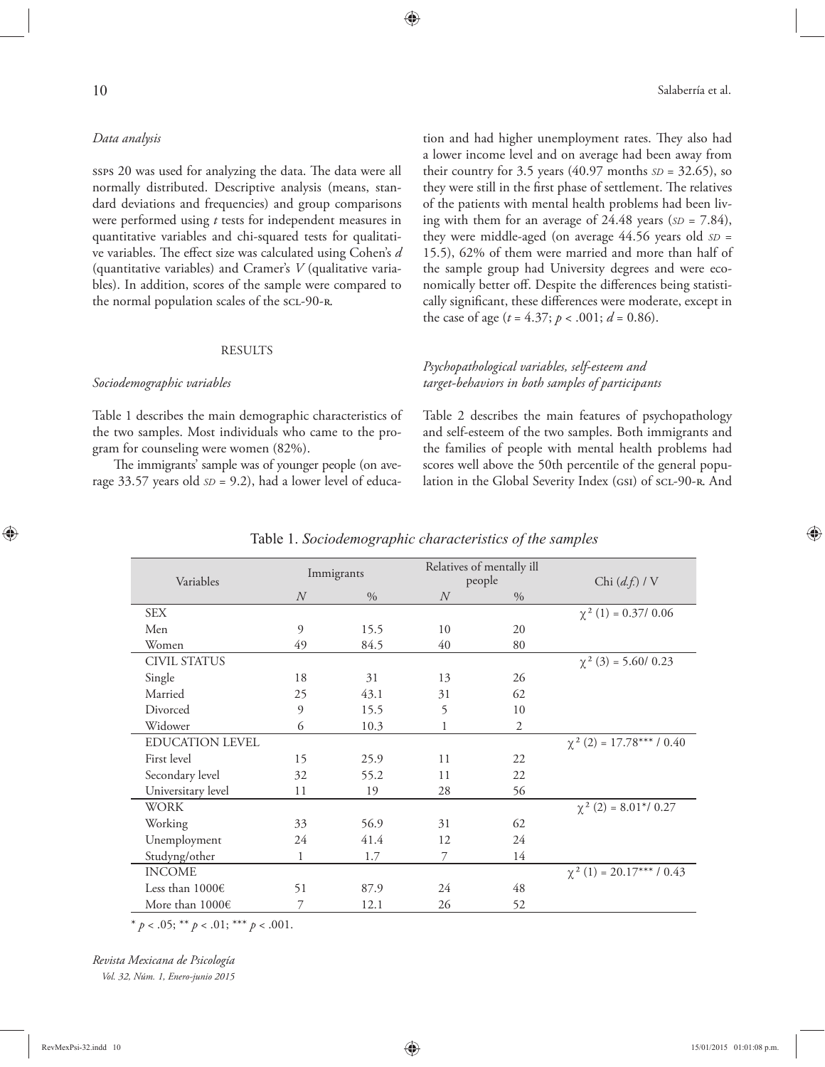ssps 20 was used for analyzing the data. The data were all normally distributed. Descriptive analysis (means, standard deviations and frequencies) and group comparisons were performed using *t* tests for independent measures in quantitative variables and chi-squared tests for qualitative variables. The effect size was calculated using Cohen's *d* (quantitative variables) and Cramer's *V* (qualitative variables). In addition, scores of the sample were compared to the normal population scales of the scL-90-R.

#### RESULTS

# *Sociodemographic variables*

Table 1 describes the main demographic characteristics of the two samples. Most individuals who came to the program for counseling were women (82%).

The immigrants' sample was of younger people (on average 33.57 years old *SD* = 9.2), had a lower level of education and had higher unemployment rates. They also had a lower income level and on average had been away from their country for 3.5 years (40.97 months *SD* = 32.65), so they were still in the first phase of settlement. The relatives of the patients with mental health problems had been living with them for an average of 24.48 years (*SD* = 7.84), they were middle-aged (on average 44.56 years old *SD* = 15.5), 62% of them were married and more than half of the sample group had University degrees and were economically better off. Despite the differences being statistically significant, these differences were moderate, except in the case of age ( $t = 4.37$ ;  $p < .001$ ;  $d = 0.86$ ).

# *Psychopathological variables, self-esteem and target-behaviors in both samples of participants*

Table 2 describes the main features of psychopathology and self-esteem of the two samples. Both immigrants and the families of people with mental health problems had scores well above the 50th percentile of the general population in the Global Severity Index (GSI) of SCL-90-R. And

| Variables              | Immigrants       |      | Relatives of mentally ill<br>people |                | Chi $(d.f.)$ / V               |
|------------------------|------------------|------|-------------------------------------|----------------|--------------------------------|
|                        | $\boldsymbol{N}$ | $\%$ | N                                   | $\frac{0}{0}$  |                                |
| <b>SEX</b>             |                  |      |                                     |                | $\chi^2$ (1) = 0.37/ 0.06      |
| Men                    | $\circ$          | 15.5 | 10                                  | 20             |                                |
| Women                  | 49               | 84.5 | 40                                  | 80             |                                |
| <b>CIVIL STATUS</b>    |                  |      |                                     |                | $\chi^2$ (3) = 5.60/ 0.23      |
| Single                 | 18               | 31   | 13                                  | 26             |                                |
| Married                | 25               | 43.1 | 31                                  | 62             |                                |
| Divorced               | $\overline{9}$   | 15.5 | 5                                   | 10             |                                |
| Widower                | 6                | 10.3 |                                     | $\overline{2}$ |                                |
| <b>EDUCATION LEVEL</b> |                  |      |                                     |                | $\chi^2$ (2) = 17.78***/0.40   |
| First level            | 15               | 25.9 | 11                                  | 22             |                                |
| Secondary level        | 32               | 55.2 | 11                                  | 22             |                                |
| Universitary level     | 11               | 19   | 28                                  | 56             |                                |
| <b>WORK</b>            |                  |      |                                     |                | $\chi^2$ (2) = 8.01*/ 0.27     |
| Working                | 33               | 56.9 | 31                                  | 62             |                                |
| Unemployment           | 24               | 41.4 | 12                                  | 24             |                                |
| Studyng/other          | 1                | 1.7  | 7                                   | 14             |                                |
| <b>INCOME</b>          |                  |      |                                     |                | $\chi^2$ (1) = 20.17*** / 0.43 |
| Less than $1000 \in$   | 51               | 87.9 | 24                                  | 48             |                                |
| More than $1000 \in$   | 7                | 12.1 | 26                                  | 52             |                                |

## Table 1. *Sociodemographic characteristics of the samples*

\*  $p < .05$ ; \*\*  $p < .01$ ; \*\*\*  $p < .001$ .

*Revista Mexicana de Psicología Vol. 32, Núm. 1, Enero-junio 2015*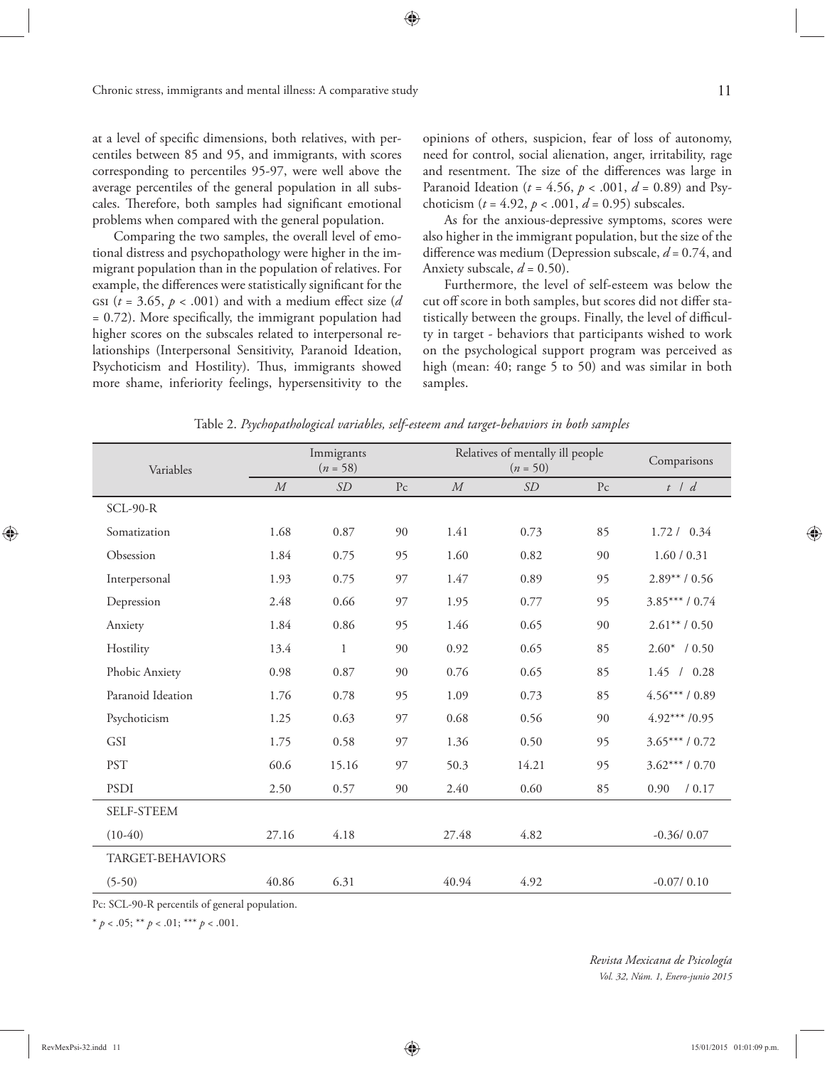at a level of specific dimensions, both relatives, with percentiles between 85 and 95, and immigrants, with scores corresponding to percentiles 95-97, were well above the average percentiles of the general population in all subscales. Therefore, both samples had significant emotional problems when compared with the general population.

Comparing the two samples, the overall level of emotional distress and psychopathology were higher in the immigrant population than in the population of relatives. For example, the differences were statistically significant for the GSI ( $t = 3.65$ ,  $p < .001$ ) and with a medium effect size (*d*)  $= 0.72$ ). More specifically, the immigrant population had higher scores on the subscales related to interpersonal relationships (Interpersonal Sensitivity, Paranoid Ideation, Psychoticism and Hostility). Thus, immigrants showed more shame, inferiority feelings, hypersensitivity to the

opinions of others, suspicion, fear of loss of autonomy, need for control, social alienation, anger, irritability, rage and resentment. The size of the differences was large in Paranoid Ideation (*t* = 4.56, *p* < .001, *d* = 0.89) and Psychoticism (*t* = 4.92, *p* < .001, *d* = 0.95) subscales.

As for the anxious-depressive symptoms, scores were also higher in the immigrant population, but the size of the difference was medium (Depression subscale,  $d = 0.74$ , and Anxiety subscale,  $d = 0.50$ ).

Furthermore, the level of self-esteem was below the cut off score in both samples, but scores did not differ statistically between the groups. Finally, the level of difficulty in target - behaviors that participants wished to work on the psychological support program was perceived as high (mean: 40; range 5 to 50) and was similar in both samples.

| Variables         | Immigrants<br>$(n = 58)$ |              |                        | Relatives of mentally ill people<br>$(n = 50)$ |       |                | Comparisons     |
|-------------------|--------------------------|--------------|------------------------|------------------------------------------------|-------|----------------|-----------------|
|                   | ${\cal M}$               | SD           | $\mathbf{P}\mathbf{c}$ | $\cal M$                                       | SD    | P <sub>c</sub> | $t$ / $d$       |
| $SCL-90-R$        |                          |              |                        |                                                |       |                |                 |
| Somatization      | 1.68                     | 0.87         | 90                     | 1.41                                           | 0.73  | 85             | 1.72 / 0.34     |
| Obsession         | 1.84                     | 0.75         | 95                     | 1.60                                           | 0.82  | 90             | 1.60 / 0.31     |
| Interpersonal     | 1.93                     | 0.75         | 97                     | 1.47                                           | 0.89  | 95             | $2.89** / 0.56$ |
| Depression        | 2.48                     | 0.66         | 97                     | 1.95                                           | 0.77  | 95             | $3.85***/0.74$  |
| Anxiety           | 1.84                     | 0.86         | 95                     | 1.46                                           | 0.65  | 90             | $2.61**/0.50$   |
| Hostility         | 13.4                     | $\mathbf{1}$ | 90                     | 0.92                                           | 0.65  | 85             | $2.60*$ / 0.50  |
| Phobic Anxiety    | 0.98                     | 0.87         | 90                     | 0.76                                           | 0.65  | 85             | 1.45 / 0.28     |
| Paranoid Ideation | 1.76                     | 0.78         | 95                     | 1.09                                           | 0.73  | 85             | $4.56***/0.89$  |
| Psychoticism      | 1.25                     | 0.63         | 97                     | 0.68                                           | 0.56  | 90             | $4.92***/0.95$  |
| GSI               | 1.75                     | 0.58         | 97                     | 1.36                                           | 0.50  | 95             | $3.65***/0.72$  |
| <b>PST</b>        | 60.6                     | 15.16        | 97                     | 50.3                                           | 14.21 | 95             | $3.62***/0.70$  |
| PSDI              | 2.50                     | 0.57         | 90                     | 2.40                                           | 0.60  | 85             | 0.90<br>/ 0.17  |
| SELF-STEEM        |                          |              |                        |                                                |       |                |                 |
| $(10-40)$         | 27.16                    | 4.18         |                        | 27.48                                          | 4.82  |                | $-0.36/0.07$    |
| TARGET-BEHAVIORS  |                          |              |                        |                                                |       |                |                 |
| $(5-50)$          | 40.86                    | 6.31         |                        | 40.94                                          | 4.92  |                | $-0.07/0.10$    |

Table 2. *Psychopathological variables, self-esteem and target-behaviors in both samples*

Pc: SCL-90-R percentils of general population.

\*  $p < .05$ ; \*\*  $p < .01$ ; \*\*\*  $p < .001$ .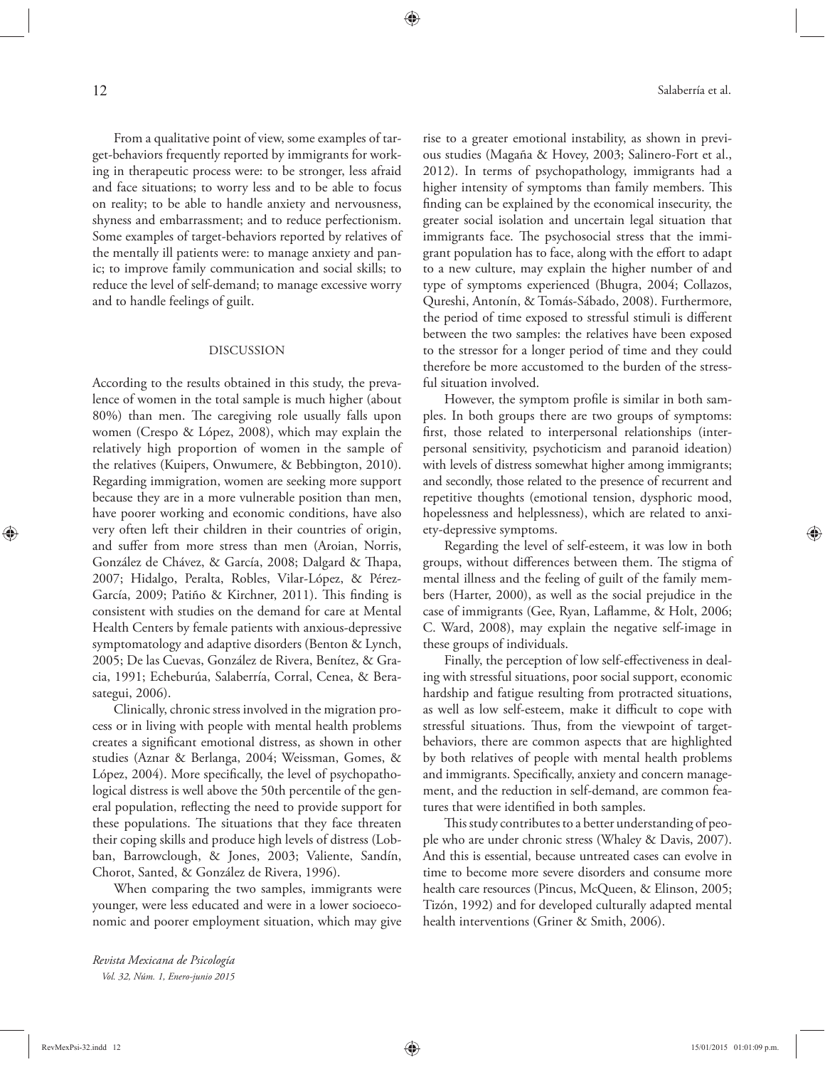From a qualitative point of view, some examples of target-behaviors frequently reported by immigrants for working in therapeutic process were: to be stronger, less afraid and face situations; to worry less and to be able to focus on reality; to be able to handle anxiety and nervousness, shyness and embarrassment; and to reduce perfectionism. Some examples of target-behaviors reported by relatives of the mentally ill patients were: to manage anxiety and panic; to improve family communication and social skills; to reduce the level of self-demand; to manage excessive worry and to handle feelings of guilt.

#### DISCUSSION

According to the results obtained in this study, the prevalence of women in the total sample is much higher (about 80%) than men. The caregiving role usually falls upon women (Crespo & López, 2008), which may explain the relatively high proportion of women in the sample of the relatives (Kuipers, Onwumere, & Bebbington, 2010). Regarding immigration, women are seeking more support because they are in a more vulnerable position than men, have poorer working and economic conditions, have also very often left their children in their countries of origin, and suffer from more stress than men (Aroian, Norris, González de Chávez, & García, 2008; Dalgard & Thapa, 2007; Hidalgo, Peralta, Robles, Vilar-López, & Pérez-García, 2009; Patiño & Kirchner, 2011). This finding is consistent with studies on the demand for care at Mental Health Centers by female patients with anxious-depressive symptomatology and adaptive disorders (Benton & Lynch, 2005; De las Cuevas, González de Rivera, Benítez, & Gracia, 1991; Echeburúa, Salaberría, Corral, Cenea, & Berasategui, 2006).

Clinically, chronic stress involved in the migration process or in living with people with mental health problems creates a significant emotional distress, as shown in other studies (Aznar & Berlanga, 2004; Weissman, Gomes, & López, 2004). More specifically, the level of psychopathological distress is well above the 50th percentile of the general population, reflecting the need to provide support for these populations. The situations that they face threaten their coping skills and produce high levels of distress (Lobban, Barrowclough, & Jones, 2003; Valiente, Sandín, Chorot, Santed, & González de Rivera, 1996).

When comparing the two samples, immigrants were younger, were less educated and were in a lower socioeconomic and poorer employment situation, which may give

*Revista Mexicana de Psicología Vol. 32, Núm. 1, Enero-junio 2015* rise to a greater emotional instability, as shown in previous studies (Magaña & Hovey, 2003; Salinero-Fort et al., 2012). In terms of psychopathology, immigrants had a higher intensity of symptoms than family members. This finding can be explained by the economical insecurity, the greater social isolation and uncertain legal situation that immigrants face. The psychosocial stress that the immigrant population has to face, along with the effort to adapt to a new culture, may explain the higher number of and type of symptoms experienced (Bhugra, 2004; Collazos, Qureshi, Antonín, & Tomás-Sábado, 2008). Furthermore, the period of time exposed to stressful stimuli is different between the two samples: the relatives have been exposed to the stressor for a longer period of time and they could therefore be more accustomed to the burden of the stressful situation involved.

However, the symptom profile is similar in both samples. In both groups there are two groups of symptoms: first, those related to interpersonal relationships (interpersonal sensitivity, psychoticism and paranoid ideation) with levels of distress somewhat higher among immigrants; and secondly, those related to the presence of recurrent and repetitive thoughts (emotional tension, dysphoric mood, hopelessness and helplessness), which are related to anxiety-depressive symptoms.

Regarding the level of self-esteem, it was low in both groups, without differences between them. The stigma of mental illness and the feeling of guilt of the family members (Harter, 2000), as well as the social prejudice in the case of immigrants (Gee, Ryan, Laflamme, & Holt, 2006; C. Ward, 2008), may explain the negative self-image in these groups of individuals.

Finally, the perception of low self-effectiveness in dealing with stressful situations, poor social support, economic hardship and fatigue resulting from protracted situations, as well as low self-esteem, make it difficult to cope with stressful situations. Thus, from the viewpoint of targetbehaviors, there are common aspects that are highlighted by both relatives of people with mental health problems and immigrants. Specifically, anxiety and concern management, and the reduction in self-demand, are common features that were identified in both samples.

This study contributes to a better understanding of people who are under chronic stress (Whaley & Davis, 2007). And this is essential, because untreated cases can evolve in time to become more severe disorders and consume more health care resources (Pincus, McQueen, & Elinson, 2005; Tizón, 1992) and for developed culturally adapted mental health interventions (Griner & Smith, 2006).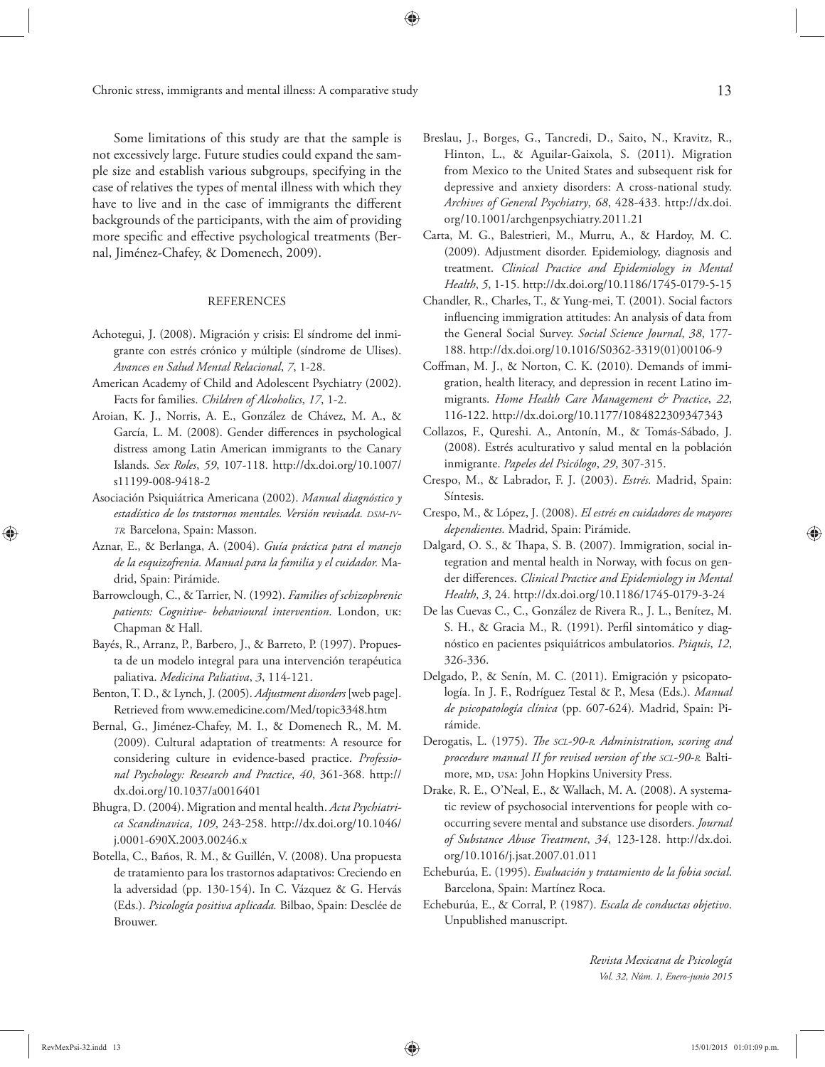Some limitations of this study are that the sample is not excessively large. Future studies could expand the sample size and establish various subgroups, specifying in the case of relatives the types of mental illness with which they have to live and in the case of immigrants the different backgrounds of the participants, with the aim of providing more specific and effective psychological treatments (Bernal, Jiménez-Chafey, & Domenech, 2009).

### **REFERENCES**

- Achotegui, J. (2008). Migración y crisis: El síndrome del inmigrante con estrés crónico y múltiple (síndrome de Ulises). *Avances en Salud Mental Relacional*, *7*, 1-28.
- American Academy of Child and Adolescent Psychiatry (2002). Facts for families. *Children of Alcoholics*, *17*, 1-2.
- Aroian, K. J., Norris, A. E., González de Chávez, M. A., & García, L. M. (2008). Gender differences in psychological distress among Latin American immigrants to the Canary Islands. *Sex Roles*, *59*, 107-118. http://dx.doi.org/10.1007/ s11199-008-9418-2
- Asociación Psiquiátrica Americana (2002). *Manual diagnóstico y estadístico de los trastornos mentales. Versión revisada. DSM-IV-TR.* Barcelona, Spain: Masson.
- Aznar, E., & Berlanga, A. (2004). *Guía práctica para el manejo de la esquizofrenia. Manual para la familia y el cuidador.* Madrid, Spain: Pirámide.
- Barrowclough, C., & Tarrier, N. (1992). *Families of schizophrenic patients: Cognitive- behavioural intervention*. London, uk: Chapman & Hall.
- Bayés, R., Arranz, P., Barbero, J., & Barreto, P. (1997). Propuesta de un modelo integral para una intervención terapéutica paliativa. *Medicina Paliativa*, *3*, 114-121.
- Benton, T. D., & Lynch, J. (2005). *Adjustment disorders* [web page]. Retrieved from www.emedicine.com/Med/topic3348.htm
- Bernal, G., Jiménez-Chafey, M. I., & Domenech R., M. M. (2009). Cultural adaptation of treatments: A resource for considering culture in evidence-based practice. *Professional Psychology: Research and Practice*, *40*, 361-368. http:// dx.doi.org/10.1037/a0016401
- Bhugra, D. (2004). Migration and mental health. *Acta Psychiatrica Scandinavica*, *109*, 243-258. http://dx.doi.org/10.1046/ j.0001-690X.2003.00246.x
- Botella, C., Baños, R. M., & Guillén, V. (2008). Una propuesta de tratamiento para los trastornos adaptativos: Creciendo en la adversidad (pp. 130-154). In C. Vázquez & G. Hervás (Eds.). *Psicología positiva aplicada.* Bilbao, Spain: Desclée de Brouwer.
- Breslau, J., Borges, G., Tancredi, D., Saito, N., Kravitz, R., Hinton, L., & Aguilar-Gaixola, S. (2011). Migration from Mexico to the United States and subsequent risk for depressive and anxiety disorders: A cross-national study. *Archives of General Psychiatry*, *68*, 428-433. http://dx.doi. org/10.1001/archgenpsychiatry.2011.21
- Carta, M. G., Balestrieri, M., Murru, A., & Hardoy, M. C. (2009). Adjustment disorder. Epidemiology, diagnosis and treatment. *Clinical Practice and Epidemiology in Mental Health*, *5*, 1-15. http://dx.doi.org/10.1186/1745-0179-5-15
- Chandler, R., Charles, T., & Yung-mei, T. (2001). Social factors influencing immigration attitudes: An analysis of data from the General Social Survey. *Social Science Journal*, *38*, 177- 188. http://dx.doi.org/10.1016/S0362-3319(01)00106-9
- Coffman, M. J., & Norton, C. K. (2010). Demands of immigration, health literacy, and depression in recent Latino immigrants. *Home Health Care Management & Practice*, *22*, 116-122. http://dx.doi.org/10.1177/1084822309347343
- Collazos, F., Qureshi. A., Antonín, M., & Tomás-Sábado, J. (2008). Estrés aculturativo y salud mental en la población inmigrante. *Papeles del Psicólogo*, *29*, 307-315.
- Crespo, M., & Labrador, F. J. (2003). *Estrés.* Madrid, Spain: Síntesis.
- Crespo, M., & López, J. (2008). *El estrés en cuidadores de mayores dependientes.* Madrid, Spain: Pirámide.
- Dalgard, O. S., & Thapa, S. B. (2007). Immigration, social integration and mental health in Norway, with focus on gender differences. *Clinical Practice and Epidemiology in Mental Health*, *3*, 24. http://dx.doi.org/10.1186/1745-0179-3-24
- De las Cuevas C., C., González de Rivera R., J. L., Benítez, M. S. H., & Gracia M., R. (1991). Perfil sintomático y diagnóstico en pacientes psiquiátricos ambulatorios. *Psiquis*, *12*, 326-336.
- Delgado, P., & Senín, M. C. (2011). Emigración y psicopatología. In J. F., Rodríguez Testal & P., Mesa (Eds.). *Manual de psicopatología clínica* (pp. 607-624)*.* Madrid, Spain: Pirámide.
- Derogatis, L. (1975). *The SCL-90-R. Administration, scoring and procedure manual II for revised version of the SCL-90-R.* Baltimore, MD, USA: John Hopkins University Press.
- Drake, R. E., O'Neal, E., & Wallach, M. A. (2008). A systematic review of psychosocial interventions for people with cooccurring severe mental and substance use disorders. *Journal of Substance Abuse Treatment*, *34*, 123-128. http://dx.doi. org/10.1016/j.jsat.2007.01.011
- Echeburúa, E. (1995). *Evaluación y tratamiento de la fobia social*. Barcelona, Spain: Martínez Roca.
- Echeburúa, E., & Corral, P. (1987). *Escala de conductas objetivo*. Unpublished manuscript.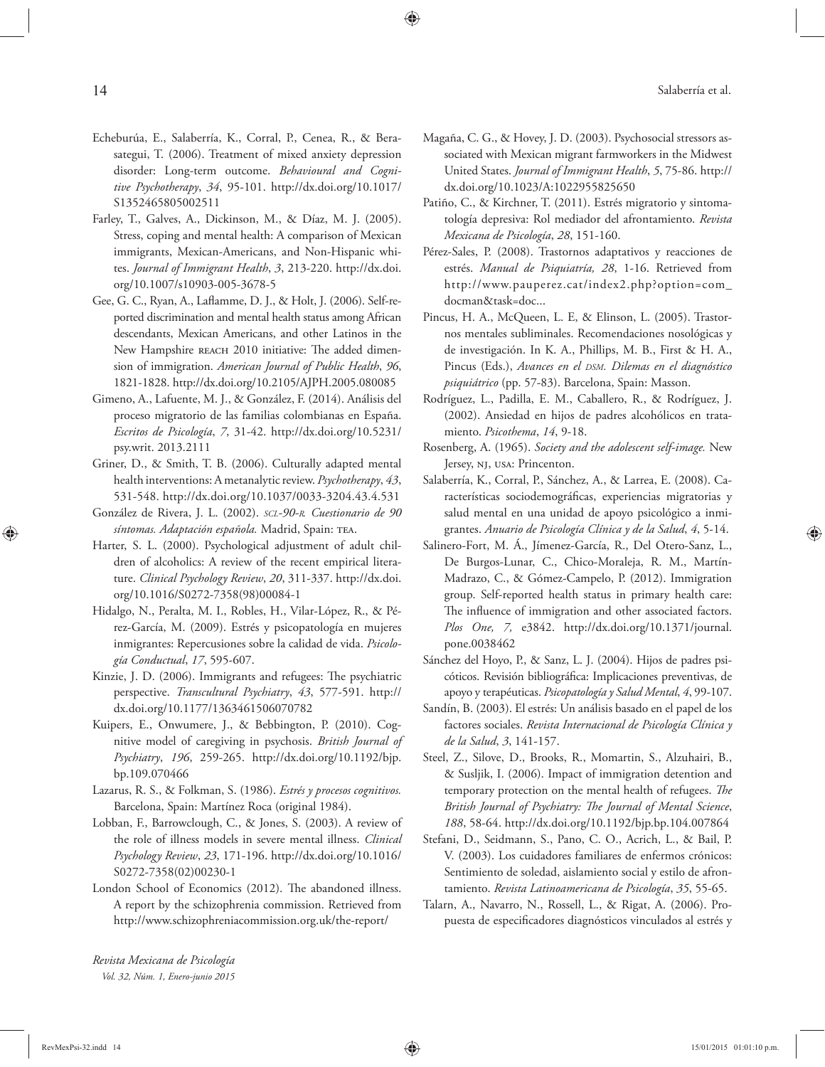- Echeburúa, E., Salaberría, K., Corral, P., Cenea, R., & Berasategui, T. (2006). Treatment of mixed anxiety depression disorder: Long-term outcome. *Behavioural and Cognitive Psychotherapy*, *34*, 95-101. http://dx.doi.org/10.1017/ S1352465805002511
- Farley, T., Galves, A., Dickinson, M., & Díaz, M. J. (2005). Stress, coping and mental health: A comparison of Mexican immigrants, Mexican-Americans, and Non-Hispanic whites. *Journal of Immigrant Health*, *3*, 213-220. http://dx.doi. org/10.1007/s10903-005-3678-5
- Gee, G. C., Ryan, A., Laflamme, D. J., & Holt, J. (2006). Self-reported discrimination and mental health status among African descendants, Mexican Americans, and other Latinos in the New Hampshire REACH 2010 initiative: The added dimension of immigration. *American Journal of Public Health*, *96*, 1821-1828. http://dx.doi.org/10.2105/AJPH.2005.080085
- Gimeno, A., Lafuente, M. J., & González, F. (2014). Análisis del proceso migratorio de las familias colombianas en España. *Escritos de Psicología*, *7*, 31-42. http://dx.doi.org/10.5231/ psy.writ. 2013.2111
- Griner, D., & Smith, T. B. (2006). Culturally adapted mental health interventions: A metanalytic review. *Psychotherapy*, *43*, 531-548. http://dx.doi.org/10.1037/0033-3204.43.4.531
- González de Rivera, J. L. (2002). *SCL-90-R. Cuestionario de 90*  síntomas. Adaptación española. Madrid, Spain: TEA.
- Harter, S. L. (2000). Psychological adjustment of adult children of alcoholics: A review of the recent empirical literature. *Clinical Psychology Review*, *20*, 311-337. http://dx.doi. org/10.1016/S0272-7358(98)00084-1
- Hidalgo, N., Peralta, M. I., Robles, H., Vilar-López, R., & Pérez-García, M. (2009). Estrés y psicopatología en mujeres inmigrantes: Repercusiones sobre la calidad de vida. *Psicología Conductual*, *17*, 595-607.
- Kinzie, J. D. (2006). Immigrants and refugees: The psychiatric perspective. *Transcultural Psychiatry*, *43*, 577-591. http:// dx.doi.org/10.1177/1363461506070782
- Kuipers, E., Onwumere, J., & Bebbington, P. (2010). Cognitive model of caregiving in psychosis. *British Journal of Psychiatry*, *196*, 259-265. http://dx.doi.org/10.1192/bjp. bp.109.070466
- Lazarus, R. S., & Folkman, S. (1986). *Estrés y procesos cognitivos.*  Barcelona, Spain: Martínez Roca (original 1984).
- Lobban, F., Barrowclough, C., & Jones, S. (2003). A review of the role of illness models in severe mental illness. *Clinical Psychology Review*, *23*, 171-196. http://dx.doi.org/10.1016/ S0272-7358(02)00230-1
- London School of Economics (2012). The abandoned illness. A report by the schizophrenia commission. Retrieved from http://www.schizophreniacommission.org.uk/the-report/
- Magaña, C. G., & Hovey, J. D. (2003). Psychosocial stressors associated with Mexican migrant farmworkers in the Midwest United States. *Journal of Immigrant Health*, *5*, 75-86. http:// dx.doi.org/10.1023/A:1022955825650
- Patiño, C., & Kirchner, T. (2011). Estrés migratorio y sintomatología depresiva: Rol mediador del afrontamiento. *Revista Mexicana de Psicología*, *28*, 151-160.
- Pérez-Sales, P. (2008). Trastornos adaptativos y reacciones de estrés. *Manual de Psiquiatría, 28*, 1-16. Retrieved from http://www.pauperez.cat/index2.php?option=com\_ docman&task=doc...
- Pincus, H. A., McQueen, L. E, & Elinson, L. (2005). Trastornos mentales subliminales. Recomendaciones nosológicas y de investigación. In K. A., Phillips, M. B., First & H. A., Pincus (Eds.), *Avances en el DSM. Dilemas en el diagnóstico psiquiátrico* (pp. 57-83). Barcelona, Spain: Masson.
- Rodríguez, L., Padilla, E. M., Caballero, R., & Rodríguez, J. (2002). Ansiedad en hijos de padres alcohólicos en tratamiento. *Psicothema*, *14*, 9-18.
- Rosenberg, A. (1965). *Society and the adolescent self-image.* New Jersey, nj, usa: Princenton.
- Salaberría, K., Corral, P., Sánchez, A., & Larrea, E. (2008). Características sociodemográficas, experiencias migratorias y salud mental en una unidad de apoyo psicológico a inmigrantes. *Anuario de Psicología Clínica y de la Salud*, *4*, 5-14.
- Salinero-Fort, M. Á., Jímenez-García, R., Del Otero-Sanz, L., De Burgos-Lunar, C., Chico-Moraleja, R. M., Martín-Madrazo, C., & Gómez-Campelo, P. (2012). Immigration group. Self-reported health status in primary health care: The influence of immigration and other associated factors. *Plos One, 7,* e3842. http://dx.doi.org/10.1371/journal. pone.0038462
- Sánchez del Hoyo, P., & Sanz, L. J. (2004). Hijos de padres psicóticos. Revisión bibliográfica: Implicaciones preventivas, de apoyo y terapéuticas. *Psicopatología y Salud Mental*, *4*, 99-107.
- Sandín, B. (2003). El estrés: Un análisis basado en el papel de los factores sociales. *Revista Internacional de Psicología Clínica y de la Salud*, *3*, 141-157.
- Steel, Z., Silove, D., Brooks, R., Momartin, S., Alzuhairi, B., & Susljik, I. (2006). Impact of immigration detention and temporary protection on the mental health of refugees. The British Journal of Psychiatry: The Journal of Mental Science, *188*, 58-64. http://dx.doi.org/10.1192/bjp.bp.104.007864
- Stefani, D., Seidmann, S., Pano, C. O., Acrich, L., & Bail, P. V. (2003). Los cuidadores familiares de enfermos crónicos: Sentimiento de soledad, aislamiento social y estilo de afrontamiento. *Revista Latinoamericana de Psicología*, *35*, 55-65.
- Talarn, A., Navarro, N., Rossell, L., & Rigat, A. (2006). Propuesta de especificadores diagnósticos vinculados al estrés y

*Revista Mexicana de Psicología Vol. 32, Núm. 1, Enero-junio 2015*